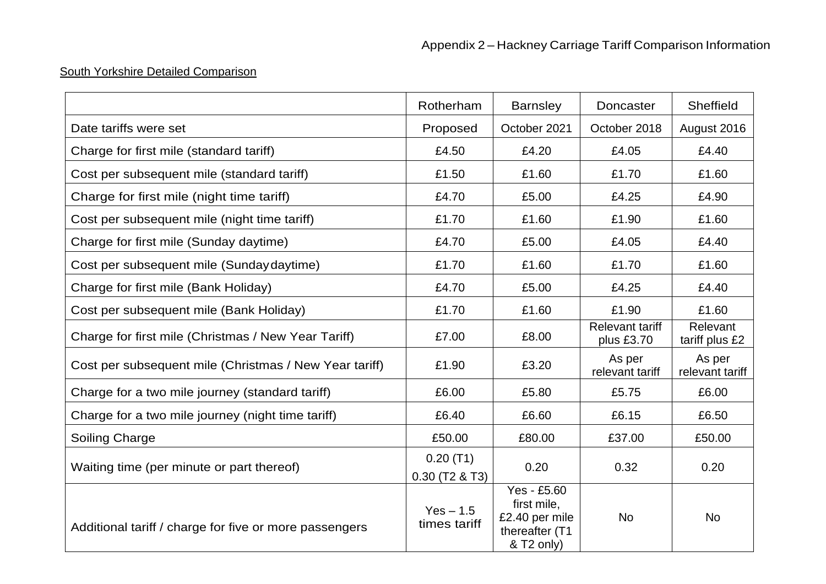## South Yorkshire Detailed Comparison

|                                                        | Rotherham                    | <b>Barnsley</b>                                                              | Doncaster                            | Sheffield                  |
|--------------------------------------------------------|------------------------------|------------------------------------------------------------------------------|--------------------------------------|----------------------------|
| Date tariffs were set                                  | Proposed                     | October 2021                                                                 | October 2018                         | August 2016                |
| Charge for first mile (standard tariff)                | £4.50                        | £4.20                                                                        | £4.05                                | £4.40                      |
| Cost per subsequent mile (standard tariff)             | £1.50                        | £1.60                                                                        | £1.70                                | £1.60                      |
| Charge for first mile (night time tariff)              | £4.70                        | £5.00                                                                        | £4.25                                | £4.90                      |
| Cost per subsequent mile (night time tariff)           | £1.70                        | £1.60                                                                        | £1.90                                | £1.60                      |
| Charge for first mile (Sunday daytime)                 | £4.70                        | £5.00                                                                        | £4.05                                | £4.40                      |
| Cost per subsequent mile (Sunday daytime)              | £1.70                        | £1.60                                                                        | £1.70                                | £1.60                      |
| Charge for first mile (Bank Holiday)                   | £4.70                        | £5.00                                                                        | £4.25                                | £4.40                      |
| Cost per subsequent mile (Bank Holiday)                | £1.70                        | £1.60                                                                        | £1.90                                | £1.60                      |
| Charge for first mile (Christmas / New Year Tariff)    | £7.00                        | £8.00                                                                        | <b>Relevant tariff</b><br>plus £3.70 | Relevant<br>tariff plus £2 |
| Cost per subsequent mile (Christmas / New Year tariff) | £1.90                        | £3.20                                                                        | As per<br>relevant tariff            | As per<br>relevant tariff  |
| Charge for a two mile journey (standard tariff)        | £6.00                        | £5.80                                                                        | £5.75                                | £6.00                      |
| Charge for a two mile journey (night time tariff)      | £6.40                        | £6.60                                                                        | £6.15                                | £6.50                      |
| <b>Soiling Charge</b>                                  | £50.00                       | £80.00                                                                       | £37.00                               | £50.00                     |
| Waiting time (per minute or part thereof)              | 0.20(T1)<br>$0.30$ (T2 & T3) | 0.20                                                                         | 0.32                                 | 0.20                       |
| Additional tariff / charge for five or more passengers | $Yes - 1.5$<br>times tariff  | Yes - £5.60<br>first mile,<br>£2.40 per mile<br>thereafter (T1<br>& T2 only) | <b>No</b>                            | <b>No</b>                  |